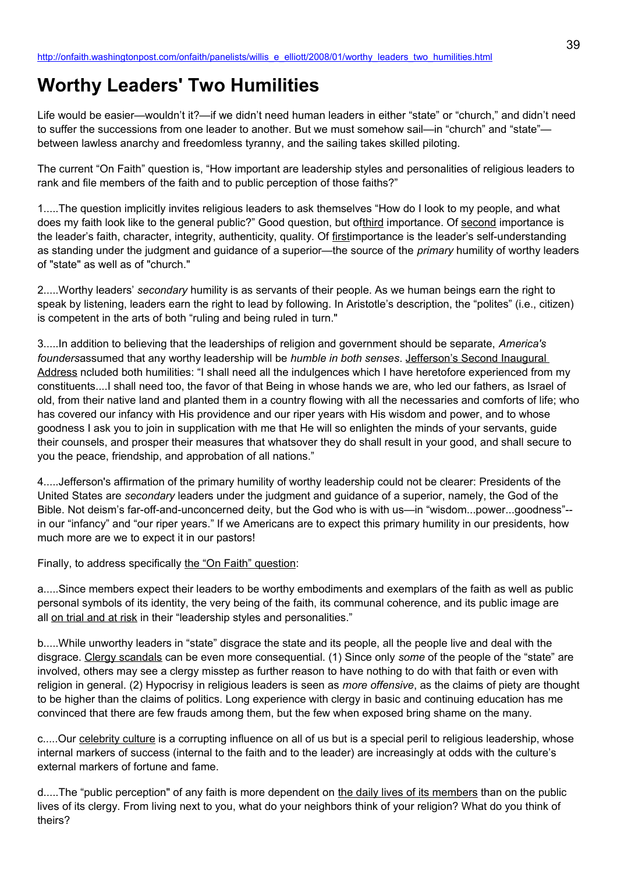# **Worthy Leaders' Two Humilities**

Life would be easier—wouldn't it?—if we didn't need human leaders in either "state" or "church," and didn't need to suffer the successions from one leader to another. But we must somehow sail—in "church" and "state" between lawless anarchy and freedomless tyranny, and the sailing takes skilled piloting.

The current "On Faith" question is, "How important are leadership styles and personalities of religious leaders to rank and file members of the faith and to public perception of those faiths?"

1.....The question implicitly invites religious leaders to ask themselves "How do I look to my people, and what does my faith look like to the general public?" Good question, but ofthird importance. Of second importance is the leader's faith, character, integrity, authenticity, quality. Of firstimportance is the leader's self-understanding as standing under the judgment and guidance of a superior—the source of the *primary* humility of worthy leaders of "state" as well as of "church."

2.....Worthy leaders' *secondary* humility is as servants of their people. As we human beings earn the right to speak by listening, leaders earn the right to lead by following. In Aristotle's description, the "polites" (i.e., citizen) is competent in the arts of both "ruling and being ruled in turn."

3.....In addition to believing that the leaderships of religion and government should be separate, *America's founders*assumed that any worthy leadership will be *humble in both senses*. Jefferson's Second Inaugural Address ncluded both humilities: "I shall need all the indulgences which I have heretofore experienced from my constituents....I shall need too, the favor of that Being in whose hands we are, who led our fathers, as Israel of old, from their native land and planted them in a country flowing with all the necessaries and comforts of life; who has covered our infancy with His providence and our riper years with His wisdom and power, and to whose goodness I ask you to join in supplication with me that He will so enlighten the minds of your servants, guide their counsels, and prosper their measures that whatsover they do shall result in your good, and shall secure to you the peace, friendship, and approbation of all nations."

4.....Jefferson's affirmation of the primary humility of worthy leadership could not be clearer: Presidents of the United States are *secondary* leaders under the judgment and guidance of a superior, namely, the God of the Bible. Not deism's far-off-and-unconcerned deity, but the God who is with us—in "wisdom...power...goodness"- in our "infancy" and "our riper years." If we Americans are to expect this primary humility in our presidents, how much more are we to expect it in our pastors!

Finally, to address specifically the "On Faith" question:

a.....Since members expect their leaders to be worthy embodiments and exemplars of the faith as well as public personal symbols of its identity, the very being of the faith, its communal coherence, and its public image are all on trial and at risk in their "leadership styles and personalities."

b.....While unworthy leaders in "state" disgrace the state and its people, all the people live and deal with the disgrace. Clergy scandals can be even more consequential. (1) Since only *some* of the people of the "state" are involved, others may see a clergy misstep as further reason to have nothing to do with that faith or even with religion in general. (2) Hypocrisy in religious leaders is seen as *more offensive*, as the claims of piety are thought to be higher than the claims of politics. Long experience with clergy in basic and continuing education has me convinced that there are few frauds among them, but the few when exposed bring shame on the many.

c.....Our celebrity culture is a corrupting influence on all of us but is a special peril to religious leadership, whose internal markers of success (internal to the faith and to the leader) are increasingly at odds with the culture's external markers of fortune and fame.

d.....The "public perception" of any faith is more dependent on the daily lives of its members than on the public lives of its clergy. From living next to you, what do your neighbors think of your religion? What do you think of theirs?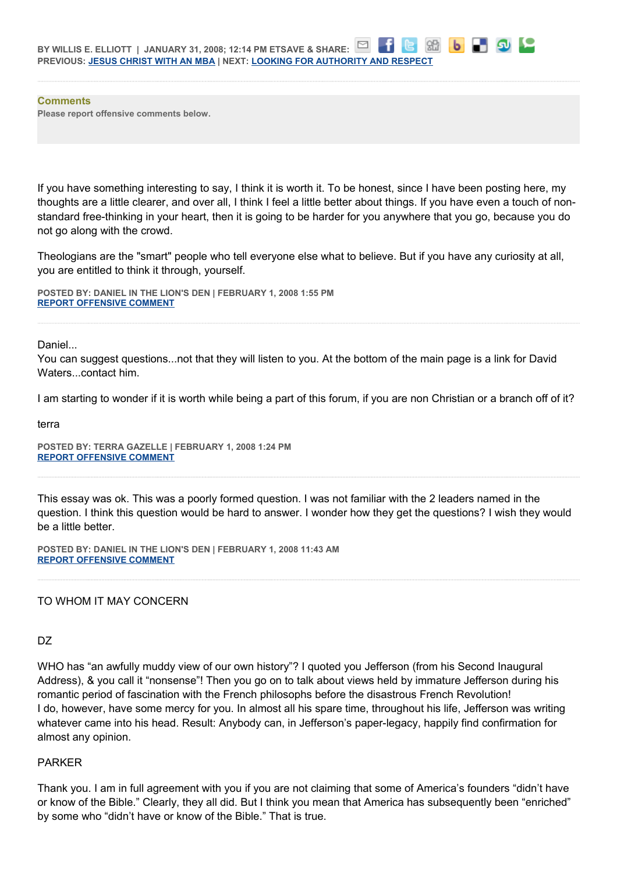**Comments Please report offensive comments below.**

If you have something interesting to say, I think it is worth it. To be honest, since I have been posting here, my thoughts are a little clearer, and over all, I think I feel a little better about things. If you have even a touch of nonstandard free-thinking in your heart, then it is going to be harder for you anywhere that you go, because you do not go along with the crowd.

86

 $\mathbf{b}$ 

Theologians are the "smart" people who tell everyone else what to believe. But if you have any curiosity at all, you are entitled to think it through, yourself.

**POSTED BY: DANIEL IN THE LION'S DEN | FEBRUARY 1, 2008 1:55 PM [REPORT OFFENSIVE COMMENT](mailto:blogs@washingtonpost.com?subject=On%20Faith%20Panelists%20Blog%20%20%7C%20%20Daniel%20in%20the%20Lion)**

Daniel...

You can suggest questions...not that they will listen to you. At the bottom of the main page is a link for David Waters...contact him.

I am starting to wonder if it is worth while being a part of this forum, if you are non Christian or a branch off of it?

terra

**POSTED BY: TERRA GAZELLE | FEBRUARY 1, 2008 1:24 PM [REPORT OFFENSIVE COMMENT](mailto:blogs@washingtonpost.com?subject=On%20Faith%20Panelists%20Blog%20%20%7C%20%20Terra%20Gazelle%20%20%7C%20%20Worthy%20Leaders)**

This essay was ok. This was a poorly formed question. I was not familiar with the 2 leaders named in the question. I think this question would be hard to answer. I wonder how they get the questions? I wish they would be a little better.

**POSTED BY: DANIEL IN THE LION'S DEN | FEBRUARY 1, 2008 11:43 AM [REPORT OFFENSIVE COMMENT](mailto:blogs@washingtonpost.com?subject=On%20Faith%20Panelists%20Blog%20%20%7C%20%20Daniel%20in%20the%20Lion)**

TO WHOM IT MAY CONCERN

DZ

WHO has "an awfully muddy view of our own history"? I quoted you Jefferson (from his Second Inaugural Address), & you call it "nonsense"! Then you go on to talk about views held by immature Jefferson during his romantic period of fascination with the French philosophs before the disastrous French Revolution! I do, however, have some mercy for you. In almost all his spare time, throughout his life, Jefferson was writing whatever came into his head. Result: Anybody can, in Jefferson's paper-legacy, happily find confirmation for almost any opinion.

# PARKER

Thank you. I am in full agreement with you if you are not claiming that some of America's founders "didn't have or know of the Bible." Clearly, they all did. But I think you mean that America has subsequently been "enriched" by some who "didn't have or know of the Bible." That is true.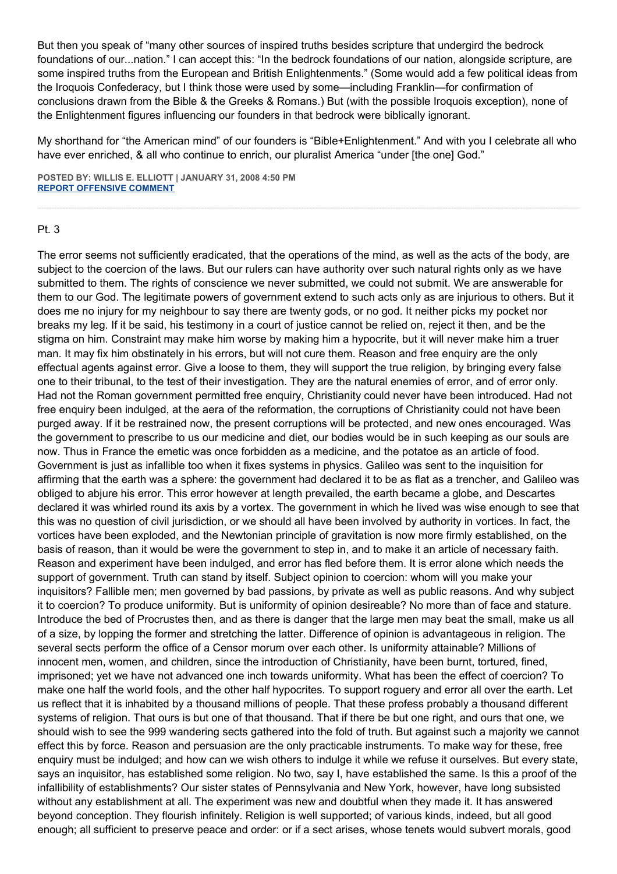But then you speak of "many other sources of inspired truths besides scripture that undergird the bedrock foundations of our...nation." I can accept this: "In the bedrock foundations of our nation, alongside scripture, are some inspired truths from the European and British Enlightenments." (Some would add a few political ideas from the Iroquois Confederacy, but I think those were used by some—including Franklin—for confirmation of conclusions drawn from the Bible & the Greeks & Romans.) But (with the possible Iroquois exception), none of the Enlightenment figures influencing our founders in that bedrock were biblically ignorant.

My shorthand for "the American mind" of our founders is "Bible+Enlightenment." And with you I celebrate all who have ever enriched, & all who continue to enrich, our pluralist America "under [the one] God."

**POSTED BY: WILLIS E. ELLIOTT | JANUARY 31, 2008 4:50 PM [REPORT OFFENSIVE COMMENT](mailto:blogs@washingtonpost.com?subject=On%20Faith%20Panelists%20Blog%20%20%7C%20%20Willis%20E.%20Elliott%20%20%7C%20%20Worthy%20Leaders)**

# Pt. 3

The error seems not sufficiently eradicated, that the operations of the mind, as well as the acts of the body, are subject to the coercion of the laws. But our rulers can have authority over such natural rights only as we have submitted to them. The rights of conscience we never submitted, we could not submit. We are answerable for them to our God. The legitimate powers of government extend to such acts only as are injurious to others. But it does me no injury for my neighbour to say there are twenty gods, or no god. It neither picks my pocket nor breaks my leg. If it be said, his testimony in a court of justice cannot be relied on, reject it then, and be the stigma on him. Constraint may make him worse by making him a hypocrite, but it will never make him a truer man. It may fix him obstinately in his errors, but will not cure them. Reason and free enquiry are the only effectual agents against error. Give a loose to them, they will support the true religion, by bringing every false one to their tribunal, to the test of their investigation. They are the natural enemies of error, and of error only. Had not the Roman government permitted free enquiry, Christianity could never have been introduced. Had not free enquiry been indulged, at the aera of the reformation, the corruptions of Christianity could not have been purged away. If it be restrained now, the present corruptions will be protected, and new ones encouraged. Was the government to prescribe to us our medicine and diet, our bodies would be in such keeping as our souls are now. Thus in France the emetic was once forbidden as a medicine, and the potatoe as an article of food. Government is just as infallible too when it fixes systems in physics. Galileo was sent to the inquisition for affirming that the earth was a sphere: the government had declared it to be as flat as a trencher, and Galileo was obliged to abjure his error. This error however at length prevailed, the earth became a globe, and Descartes declared it was whirled round its axis by a vortex. The government in which he lived was wise enough to see that this was no question of civil jurisdiction, or we should all have been involved by authority in vortices. In fact, the vortices have been exploded, and the Newtonian principle of gravitation is now more firmly established, on the basis of reason, than it would be were the government to step in, and to make it an article of necessary faith. Reason and experiment have been indulged, and error has fled before them. It is error alone which needs the support of government. Truth can stand by itself. Subject opinion to coercion: whom will you make your inquisitors? Fallible men; men governed by bad passions, by private as well as public reasons. And why subject it to coercion? To produce uniformity. But is uniformity of opinion desireable? No more than of face and stature. Introduce the bed of Procrustes then, and as there is danger that the large men may beat the small, make us all of a size, by lopping the former and stretching the latter. Difference of opinion is advantageous in religion. The several sects perform the office of a Censor morum over each other. Is uniformity attainable? Millions of innocent men, women, and children, since the introduction of Christianity, have been burnt, tortured, fined, imprisoned; yet we have not advanced one inch towards uniformity. What has been the effect of coercion? To make one half the world fools, and the other half hypocrites. To support roguery and error all over the earth. Let us reflect that it is inhabited by a thousand millions of people. That these profess probably a thousand different systems of religion. That ours is but one of that thousand. That if there be but one right, and ours that one, we should wish to see the 999 wandering sects gathered into the fold of truth. But against such a majority we cannot effect this by force. Reason and persuasion are the only practicable instruments. To make way for these, free enquiry must be indulged; and how can we wish others to indulge it while we refuse it ourselves. But every state, says an inquisitor, has established some religion. No two, say I, have established the same. Is this a proof of the infallibility of establishments? Our sister states of Pennsylvania and New York, however, have long subsisted without any establishment at all. The experiment was new and doubtful when they made it. It has answered beyond conception. They flourish infinitely. Religion is well supported; of various kinds, indeed, but all good enough; all sufficient to preserve peace and order: or if a sect arises, whose tenets would subvert morals, good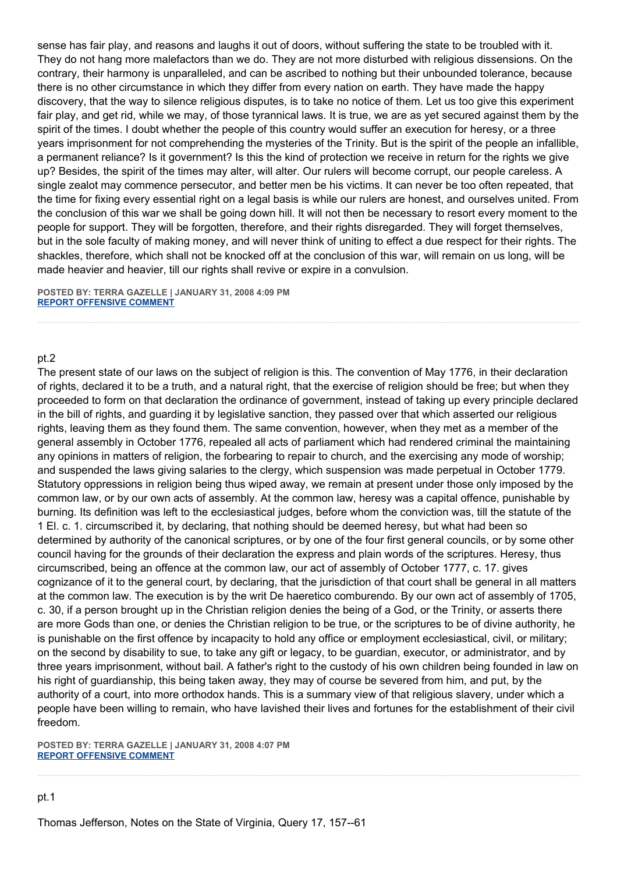sense has fair play, and reasons and laughs it out of doors, without suffering the state to be troubled with it. They do not hang more malefactors than we do. They are not more disturbed with religious dissensions. On the contrary, their harmony is unparalleled, and can be ascribed to nothing but their unbounded tolerance, because there is no other circumstance in which they differ from every nation on earth. They have made the happy discovery, that the way to silence religious disputes, is to take no notice of them. Let us too give this experiment fair play, and get rid, while we may, of those tyrannical laws. It is true, we are as yet secured against them by the spirit of the times. I doubt whether the people of this country would suffer an execution for heresy, or a three years imprisonment for not comprehending the mysteries of the Trinity. But is the spirit of the people an infallible, a permanent reliance? Is it government? Is this the kind of protection we receive in return for the rights we give up? Besides, the spirit of the times may alter, will alter. Our rulers will become corrupt, our people careless. A single zealot may commence persecutor, and better men be his victims. It can never be too often repeated, that the time for fixing every essential right on a legal basis is while our rulers are honest, and ourselves united. From the conclusion of this war we shall be going down hill. It will not then be necessary to resort every moment to the people for support. They will be forgotten, therefore, and their rights disregarded. They will forget themselves, but in the sole faculty of making money, and will never think of uniting to effect a due respect for their rights. The shackles, therefore, which shall not be knocked off at the conclusion of this war, will remain on us long, will be made heavier and heavier, till our rights shall revive or expire in a convulsion.

**POSTED BY: TERRA GAZELLE | JANUARY 31, 2008 4:09 PM [REPORT OFFENSIVE COMMENT](mailto:blogs@washingtonpost.com?subject=On%20Faith%20Panelists%20Blog%20%20%7C%20%20Terra%20Gazelle%20%20%7C%20%20Worthy%20Leaders)**

# pt.2

The present state of our laws on the subject of religion is this. The convention of May 1776, in their declaration of rights, declared it to be a truth, and a natural right, that the exercise of religion should be free; but when they proceeded to form on that declaration the ordinance of government, instead of taking up every principle declared in the bill of rights, and guarding it by legislative sanction, they passed over that which asserted our religious rights, leaving them as they found them. The same convention, however, when they met as a member of the general assembly in October 1776, repealed all acts of parliament which had rendered criminal the maintaining any opinions in matters of religion, the forbearing to repair to church, and the exercising any mode of worship; and suspended the laws giving salaries to the clergy, which suspension was made perpetual in October 1779. Statutory oppressions in religion being thus wiped away, we remain at present under those only imposed by the common law, or by our own acts of assembly. At the common law, heresy was a capital offence, punishable by burning. Its definition was left to the ecclesiastical judges, before whom the conviction was, till the statute of the 1 El. c. 1. circumscribed it, by declaring, that nothing should be deemed heresy, but what had been so determined by authority of the canonical scriptures, or by one of the four first general councils, or by some other council having for the grounds of their declaration the express and plain words of the scriptures. Heresy, thus circumscribed, being an offence at the common law, our act of assembly of October 1777, c. 17. gives cognizance of it to the general court, by declaring, that the jurisdiction of that court shall be general in all matters at the common law. The execution is by the writ De haeretico comburendo. By our own act of assembly of 1705, c. 30, if a person brought up in the Christian religion denies the being of a God, or the Trinity, or asserts there are more Gods than one, or denies the Christian religion to be true, or the scriptures to be of divine authority, he is punishable on the first offence by incapacity to hold any office or employment ecclesiastical, civil, or military; on the second by disability to sue, to take any gift or legacy, to be guardian, executor, or administrator, and by three years imprisonment, without bail. A father's right to the custody of his own children being founded in law on his right of guardianship, this being taken away, they may of course be severed from him, and put, by the authority of a court, into more orthodox hands. This is a summary view of that religious slavery, under which a people have been willing to remain, who have lavished their lives and fortunes for the establishment of their civil freedom.

**POSTED BY: TERRA GAZELLE | JANUARY 31, 2008 4:07 PM [REPORT OFFENSIVE COMMENT](mailto:blogs@washingtonpost.com?subject=On%20Faith%20Panelists%20Blog%20%20%7C%20%20Terra%20Gazelle%20%20%7C%20%20Worthy%20Leaders)**